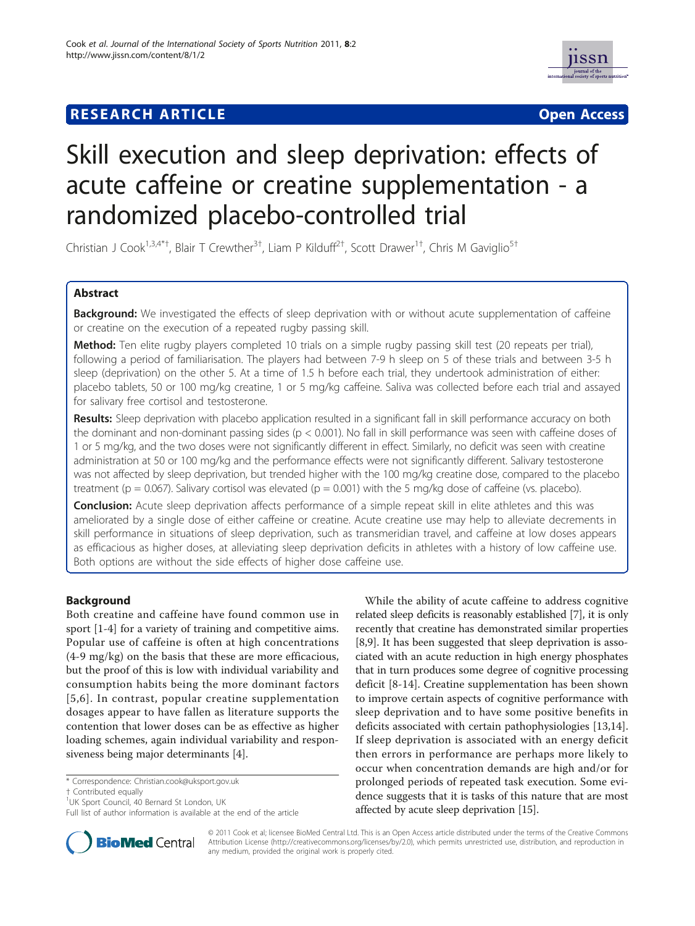## **RESEARCH ARTICLE External Structure Community Community Community Community Community Community Community Community Community Community Community Community Community Community Community Community Community Community Com**



# Skill execution and sleep deprivation: effects of acute caffeine or creatine supplementation - a randomized placebo-controlled trial

Christian J Cook<sup>1,3,4\*†</sup>, Blair T Crewther<sup>3†</sup>, Liam P Kilduff<sup>2†</sup>, Scott Drawer<sup>1†</sup>, Chris M Gaviglio<sup>5†</sup>

## Abstract

Background: We investigated the effects of sleep deprivation with or without acute supplementation of caffeine or creatine on the execution of a repeated rugby passing skill.

Method: Ten elite rugby players completed 10 trials on a simple rugby passing skill test (20 repeats per trial), following a period of familiarisation. The players had between 7-9 h sleep on 5 of these trials and between 3-5 h sleep (deprivation) on the other 5. At a time of 1.5 h before each trial, they undertook administration of either: placebo tablets, 50 or 100 mg/kg creatine, 1 or 5 mg/kg caffeine. Saliva was collected before each trial and assayed for salivary free cortisol and testosterone.

Results: Sleep deprivation with placebo application resulted in a significant fall in skill performance accuracy on both the dominant and non-dominant passing sides (p < 0.001). No fall in skill performance was seen with caffeine doses of 1 or 5 mg/kg, and the two doses were not significantly different in effect. Similarly, no deficit was seen with creatine administration at 50 or 100 mg/kg and the performance effects were not significantly different. Salivary testosterone was not affected by sleep deprivation, but trended higher with the 100 mg/kg creatine dose, compared to the placebo treatment ( $p = 0.067$ ). Salivary cortisol was elevated ( $p = 0.001$ ) with the 5 mg/kg dose of caffeine (vs. placebo).

**Conclusion:** Acute sleep deprivation affects performance of a simple repeat skill in elite athletes and this was ameliorated by a single dose of either caffeine or creatine. Acute creatine use may help to alleviate decrements in skill performance in situations of sleep deprivation, such as transmeridian travel, and caffeine at low doses appears as efficacious as higher doses, at alleviating sleep deprivation deficits in athletes with a history of low caffeine use. Both options are without the side effects of higher dose caffeine use.

## Background

Both creatine and caffeine have found common use in sport [[1-4](#page-7-0)] for a variety of training and competitive aims. Popular use of caffeine is often at high concentrations (4-9 mg/kg) on the basis that these are more efficacious, but the proof of this is low with individual variability and consumption habits being the more dominant factors [[5,6\]](#page-7-0). In contrast, popular creatine supplementation dosages appear to have fallen as literature supports the contention that lower doses can be as effective as higher loading schemes, again individual variability and responsiveness being major determinants [\[4](#page-7-0)].

† Contributed equally <sup>1</sup>

Full list of author information is available at the end of the article





© 2011 Cook et al; licensee BioMed Central Ltd. This is an Open Access article distributed under the terms of the Creative Commons Attribution License [\(http://creativecommons.org/licenses/by/2.0](http://creativecommons.org/licenses/by/2.0)), which permits unrestricted use, distribution, and reproduction in any medium, provided the original work is properly cited.

<sup>\*</sup> Correspondence: [Christian.cook@uksport.gov.uk](mailto:Christian.cook@uksport.gov.uk)

<sup>&</sup>lt;sup>1</sup>UK Sport Council, 40 Bernard St London, UK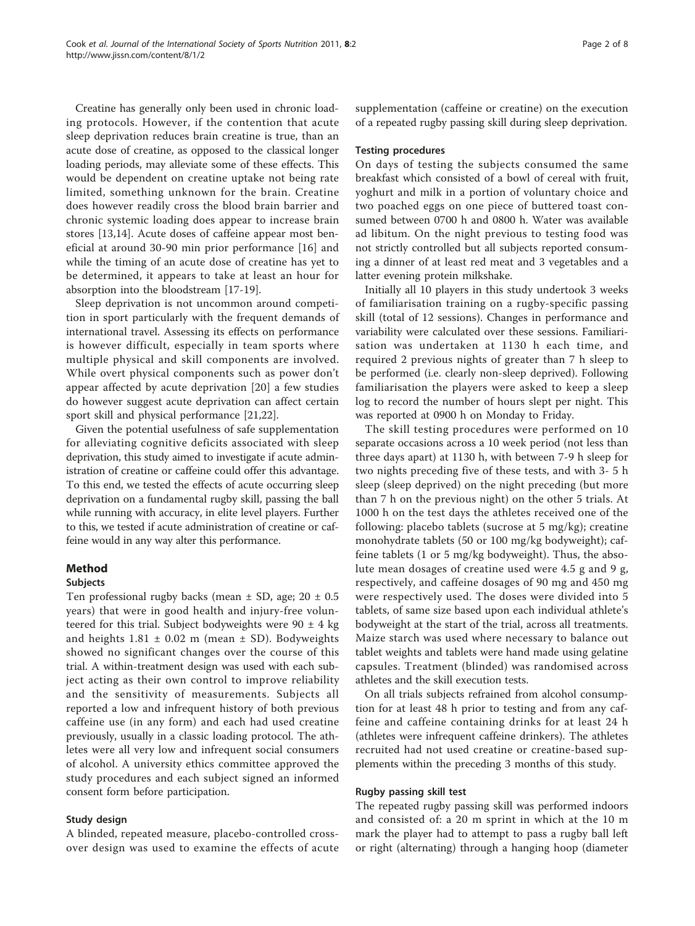Creatine has generally only been used in chronic loading protocols. However, if the contention that acute sleep deprivation reduces brain creatine is true, than an acute dose of creatine, as opposed to the classical longer loading periods, may alleviate some of these effects. This would be dependent on creatine uptake not being rate limited, something unknown for the brain. Creatine does however readily cross the blood brain barrier and chronic systemic loading does appear to increase brain stores [\[13,14](#page-7-0)]. Acute doses of caffeine appear most beneficial at around 30-90 min prior performance [[16\]](#page-7-0) and while the timing of an acute dose of creatine has yet to be determined, it appears to take at least an hour for absorption into the bloodstream [[17](#page-7-0)-[19\]](#page-7-0).

Sleep deprivation is not uncommon around competition in sport particularly with the frequent demands of international travel. Assessing its effects on performance is however difficult, especially in team sports where multiple physical and skill components are involved. While overt physical components such as power don't appear affected by acute deprivation [[20\]](#page-7-0) a few studies do however suggest acute deprivation can affect certain sport skill and physical performance [\[21,22\]](#page-7-0).

Given the potential usefulness of safe supplementation for alleviating cognitive deficits associated with sleep deprivation, this study aimed to investigate if acute administration of creatine or caffeine could offer this advantage. To this end, we tested the effects of acute occurring sleep deprivation on a fundamental rugby skill, passing the ball while running with accuracy, in elite level players. Further to this, we tested if acute administration of creatine or caffeine would in any way alter this performance.

## Method

#### Subjects

Ten professional rugby backs (mean  $\pm$  SD, age; 20  $\pm$  0.5 years) that were in good health and injury-free volunteered for this trial. Subject bodyweights were  $90 \pm 4$  kg and heights  $1.81 \pm 0.02$  m (mean  $\pm$  SD). Bodyweights showed no significant changes over the course of this trial. A within-treatment design was used with each subject acting as their own control to improve reliability and the sensitivity of measurements. Subjects all reported a low and infrequent history of both previous caffeine use (in any form) and each had used creatine previously, usually in a classic loading protocol. The athletes were all very low and infrequent social consumers of alcohol. A university ethics committee approved the study procedures and each subject signed an informed consent form before participation.

## Study design

A blinded, repeated measure, placebo-controlled crossover design was used to examine the effects of acute supplementation (caffeine or creatine) on the execution of a repeated rugby passing skill during sleep deprivation.

## Testing procedures

On days of testing the subjects consumed the same breakfast which consisted of a bowl of cereal with fruit, yoghurt and milk in a portion of voluntary choice and two poached eggs on one piece of buttered toast consumed between 0700 h and 0800 h. Water was available ad libitum. On the night previous to testing food was not strictly controlled but all subjects reported consuming a dinner of at least red meat and 3 vegetables and a latter evening protein milkshake.

Initially all 10 players in this study undertook 3 weeks of familiarisation training on a rugby-specific passing skill (total of 12 sessions). Changes in performance and variability were calculated over these sessions. Familiarisation was undertaken at 1130 h each time, and required 2 previous nights of greater than 7 h sleep to be performed (i.e. clearly non-sleep deprived). Following familiarisation the players were asked to keep a sleep log to record the number of hours slept per night. This was reported at 0900 h on Monday to Friday.

The skill testing procedures were performed on 10 separate occasions across a 10 week period (not less than three days apart) at 1130 h, with between 7-9 h sleep for two nights preceding five of these tests, and with 3- 5 h sleep (sleep deprived) on the night preceding (but more than 7 h on the previous night) on the other 5 trials. At 1000 h on the test days the athletes received one of the following: placebo tablets (sucrose at 5 mg/kg); creatine monohydrate tablets (50 or 100 mg/kg bodyweight); caffeine tablets (1 or 5 mg/kg bodyweight). Thus, the absolute mean dosages of creatine used were 4.5 g and 9 g, respectively, and caffeine dosages of 90 mg and 450 mg were respectively used. The doses were divided into 5 tablets, of same size based upon each individual athlete's bodyweight at the start of the trial, across all treatments. Maize starch was used where necessary to balance out tablet weights and tablets were hand made using gelatine capsules. Treatment (blinded) was randomised across athletes and the skill execution tests.

On all trials subjects refrained from alcohol consumption for at least 48 h prior to testing and from any caffeine and caffeine containing drinks for at least 24 h (athletes were infrequent caffeine drinkers). The athletes recruited had not used creatine or creatine-based supplements within the preceding 3 months of this study.

## Rugby passing skill test

The repeated rugby passing skill was performed indoors and consisted of: a 20 m sprint in which at the 10 m mark the player had to attempt to pass a rugby ball left or right (alternating) through a hanging hoop (diameter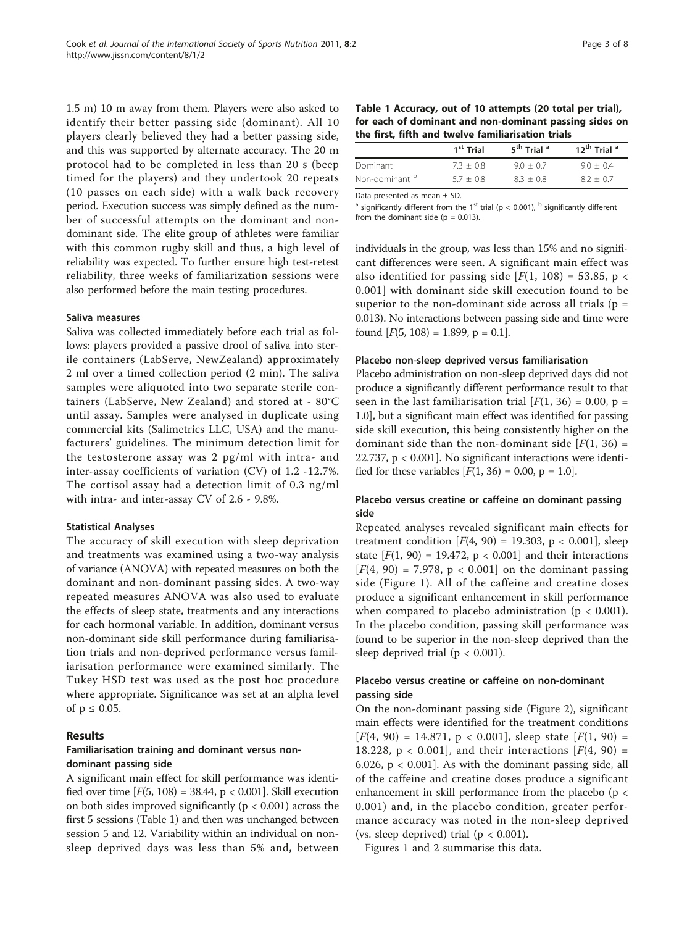1.5 m) 10 m away from them. Players were also asked to identify their better passing side (dominant). All 10 players clearly believed they had a better passing side, and this was supported by alternate accuracy. The 20 m protocol had to be completed in less than 20 s (beep timed for the players) and they undertook 20 repeats (10 passes on each side) with a walk back recovery period. Execution success was simply defined as the number of successful attempts on the dominant and nondominant side. The elite group of athletes were familiar with this common rugby skill and thus, a high level of reliability was expected. To further ensure high test-retest reliability, three weeks of familiarization sessions were also performed before the main testing procedures.

#### Saliva measures

Saliva was collected immediately before each trial as follows: players provided a passive drool of saliva into sterile containers (LabServe, NewZealand) approximately 2 ml over a timed collection period (2 min). The saliva samples were aliquoted into two separate sterile containers (LabServe, New Zealand) and stored at - 80°C until assay. Samples were analysed in duplicate using commercial kits (Salimetrics LLC, USA) and the manufacturers' guidelines. The minimum detection limit for the testosterone assay was 2 pg/ml with intra- and inter-assay coefficients of variation (CV) of 1.2 -12.7%. The cortisol assay had a detection limit of 0.3 ng/ml with intra- and inter-assay CV of 2.6 - 9.8%.

#### Statistical Analyses

The accuracy of skill execution with sleep deprivation and treatments was examined using a two-way analysis of variance (ANOVA) with repeated measures on both the dominant and non-dominant passing sides. A two-way repeated measures ANOVA was also used to evaluate the effects of sleep state, treatments and any interactions for each hormonal variable. In addition, dominant versus non-dominant side skill performance during familiarisation trials and non-deprived performance versus familiarisation performance were examined similarly. The Tukey HSD test was used as the post hoc procedure where appropriate. Significance was set at an alpha level of  $p \leq 0.05$ .

## Results

## Familiarisation training and dominant versus nondominant passing side

A significant main effect for skill performance was identified over time  $[F(5, 108) = 38.44, p < 0.001]$ . Skill execution on both sides improved significantly ( $p < 0.001$ ) across the first 5 sessions (Table 1) and then was unchanged between session 5 and 12. Variability within an individual on nonsleep deprived days was less than 5% and, between

| Table 1 Accuracy, out of 10 attempts (20 total per trial), |  |
|------------------------------------------------------------|--|
| for each of dominant and non-dominant passing sides on     |  |
| the first, fifth and twelve familiarisation trials         |  |

|                           | 1 <sup>st</sup> Trial | 5 <sup>th</sup> Trial <sup>a</sup> | 12 <sup>th</sup> Trial <sup>a</sup> |
|---------------------------|-----------------------|------------------------------------|-------------------------------------|
| Dominant                  | $7.3 + 0.8$           | $9.0 + 0.7$                        | $9.0 + 0.4$                         |
| Non-dominant <sup>b</sup> | $5.7 + 0.8$           | $8.3 + 0.8$                        | $8.2 + 0.7$                         |

Data presented as mean ± SD.

<sup>a</sup> significantly different from the 1<sup>st</sup> trial (p < 0.001), <sup>b</sup> significantly different from the dominant side ( $p = 0.013$ ).

individuals in the group, was less than 15% and no significant differences were seen. A significant main effect was also identified for passing side  $[F(1, 108) = 53.85, p <$ 0.001] with dominant side skill execution found to be superior to the non-dominant side across all trials (p = 0.013). No interactions between passing side and time were found  $[F(5, 108) = 1.899, p = 0.1]$ .

#### Placebo non-sleep deprived versus familiarisation

Placebo administration on non-sleep deprived days did not produce a significantly different performance result to that seen in the last familiarisation trial  $[F(1, 36) = 0.00, p =$ 1.0], but a significant main effect was identified for passing side skill execution, this being consistently higher on the dominant side than the non-dominant side  $[F(1, 36) =$ 22.737, p < 0.001]. No significant interactions were identified for these variables  $[F(1, 36) = 0.00, p = 1.0]$ .

## Placebo versus creatine or caffeine on dominant passing side

Repeated analyses revealed significant main effects for treatment condition  $[F(4, 90) = 19.303, p < 0.001]$ , sleep state  $[F(1, 90) = 19.472$ ,  $p < 0.001$  and their interactions  $[F(4, 90) = 7.978, p < 0.001]$  on the dominant passing side (Figure [1](#page-3-0)). All of the caffeine and creatine doses produce a significant enhancement in skill performance when compared to placebo administration ( $p < 0.001$ ). In the placebo condition, passing skill performance was found to be superior in the non-sleep deprived than the sleep deprived trial ( $p < 0.001$ ).

## Placebo versus creatine or caffeine on non-dominant passing side

On the non-dominant passing side (Figure [2](#page-4-0)), significant main effects were identified for the treatment conditions  $[F(4, 90) = 14.871, p < 0.001]$ , sleep state  $[F(1, 90) =$ 18.228,  $p < 0.001$ ], and their interactions [ $F(4, 90) =$ 6.026,  $p < 0.001$ . As with the dominant passing side, all of the caffeine and creatine doses produce a significant enhancement in skill performance from the placebo (p < 0.001) and, in the placebo condition, greater performance accuracy was noted in the non-sleep deprived (vs. sleep deprived) trial ( $p < 0.001$ ).

Figures [1](#page-3-0) and [2](#page-4-0) summarise this data.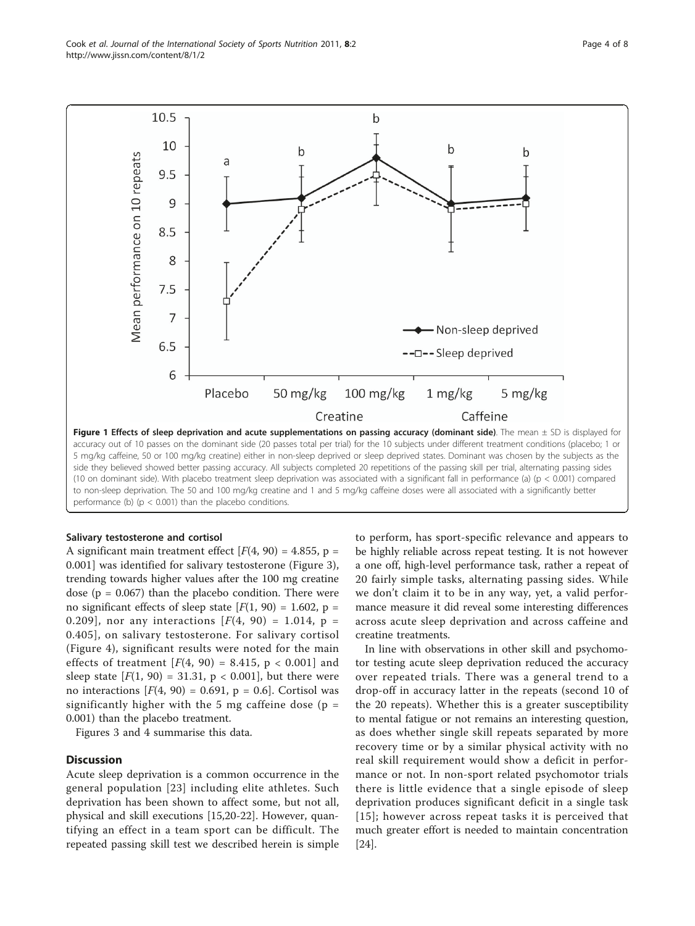<span id="page-3-0"></span>Cook et al. Journal of the International Society of Sports Nutrition 2011, 8:2 http://www.jissn.com/content/8/1/2



## Salivary testosterone and cortisol

A significant main treatment effect  $[F(4, 90) = 4.855, p =$ 0.001] was identified for salivary testosterone (Figure [3](#page-5-0)), trending towards higher values after the 100 mg creatine dose ( $p = 0.067$ ) than the placebo condition. There were no significant effects of sleep state  $[F(1, 90) = 1.602, p =$ 0.209], nor any interactions  $[F(4, 90) = 1.014, p =$ 0.405], on salivary testosterone. For salivary cortisol (Figure [4\)](#page-5-0), significant results were noted for the main effects of treatment  $[F(4, 90) = 8.415, p < 0.001]$  and sleep state  $[F(1, 90) = 31.31, p < 0.001]$ , but there were no interactions  $[F(4, 90) = 0.691, p = 0.6]$ . Cortisol was significantly higher with the 5 mg caffeine dose ( $p =$ 0.001) than the placebo treatment.

Figures [3](#page-5-0) and [4](#page-5-0) summarise this data.

## **Discussion**

Acute sleep deprivation is a common occurrence in the general population [[23](#page-7-0)] including elite athletes. Such deprivation has been shown to affect some, but not all, physical and skill executions [[15,20-22\]](#page-7-0). However, quantifying an effect in a team sport can be difficult. The repeated passing skill test we described herein is simple

to perform, has sport-specific relevance and appears to be highly reliable across repeat testing. It is not however a one off, high-level performance task, rather a repeat of 20 fairly simple tasks, alternating passing sides. While we don't claim it to be in any way, yet, a valid performance measure it did reveal some interesting differences across acute sleep deprivation and across caffeine and creatine treatments.

In line with observations in other skill and psychomotor testing acute sleep deprivation reduced the accuracy over repeated trials. There was a general trend to a drop-off in accuracy latter in the repeats (second 10 of the 20 repeats). Whether this is a greater susceptibility to mental fatigue or not remains an interesting question, as does whether single skill repeats separated by more recovery time or by a similar physical activity with no real skill requirement would show a deficit in performance or not. In non-sport related psychomotor trials there is little evidence that a single episode of sleep deprivation produces significant deficit in a single task [[15\]](#page-7-0); however across repeat tasks it is perceived that much greater effort is needed to maintain concentration [[24\]](#page-7-0).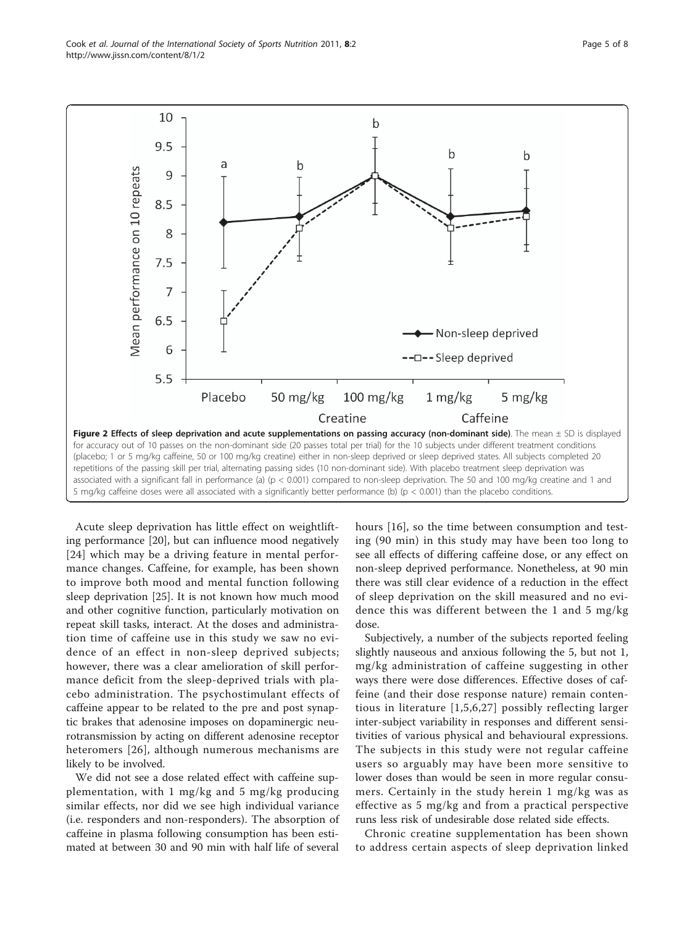Acute sleep deprivation has little effect on weightlifting performance [[20](#page-7-0)], but can influence mood negatively [[24](#page-7-0)] which may be a driving feature in mental performance changes. Caffeine, for example, has been shown to improve both mood and mental function following sleep deprivation [\[25](#page-7-0)]. It is not known how much mood and other cognitive function, particularly motivation on repeat skill tasks, interact. At the doses and administration time of caffeine use in this study we saw no evidence of an effect in non-sleep deprived subjects; however, there was a clear amelioration of skill performance deficit from the sleep-deprived trials with placebo administration. The psychostimulant effects of caffeine appear to be related to the pre and post synaptic brakes that adenosine imposes on dopaminergic neurotransmission by acting on different adenosine receptor

likely to be involved. We did not see a dose related effect with caffeine supplementation, with 1 mg/kg and 5 mg/kg producing similar effects, nor did we see high individual variance (i.e. responders and non-responders). The absorption of caffeine in plasma following consumption has been estimated at between 30 and 90 min with half life of several

heteromers [[26\]](#page-7-0), although numerous mechanisms are

hours [[16](#page-7-0)], so the time between consumption and testing (90 min) in this study may have been too long to see all effects of differing caffeine dose, or any effect on non-sleep deprived performance. Nonetheless, at 90 min there was still clear evidence of a reduction in the effect of sleep deprivation on the skill measured and no evidence this was different between the 1 and 5 mg/kg dose.

Subjectively, a number of the subjects reported feeling slightly nauseous and anxious following the 5, but not 1, mg/kg administration of caffeine suggesting in other ways there were dose differences. Effective doses of caffeine (and their dose response nature) remain contentious in literature [[1,5](#page-7-0),[6](#page-7-0),[27](#page-7-0)] possibly reflecting larger inter-subject variability in responses and different sensitivities of various physical and behavioural expressions. The subjects in this study were not regular caffeine users so arguably may have been more sensitive to lower doses than would be seen in more regular consumers. Certainly in the study herein 1 mg/kg was as effective as 5 mg/kg and from a practical perspective runs less risk of undesirable dose related side effects.

Chronic creatine supplementation has been shown to address certain aspects of sleep deprivation linked



<span id="page-4-0"></span>Cook et al. Journal of the International Society of Sports Nutrition 2011, 8:2 http://www.jissn.com/content/8/1/2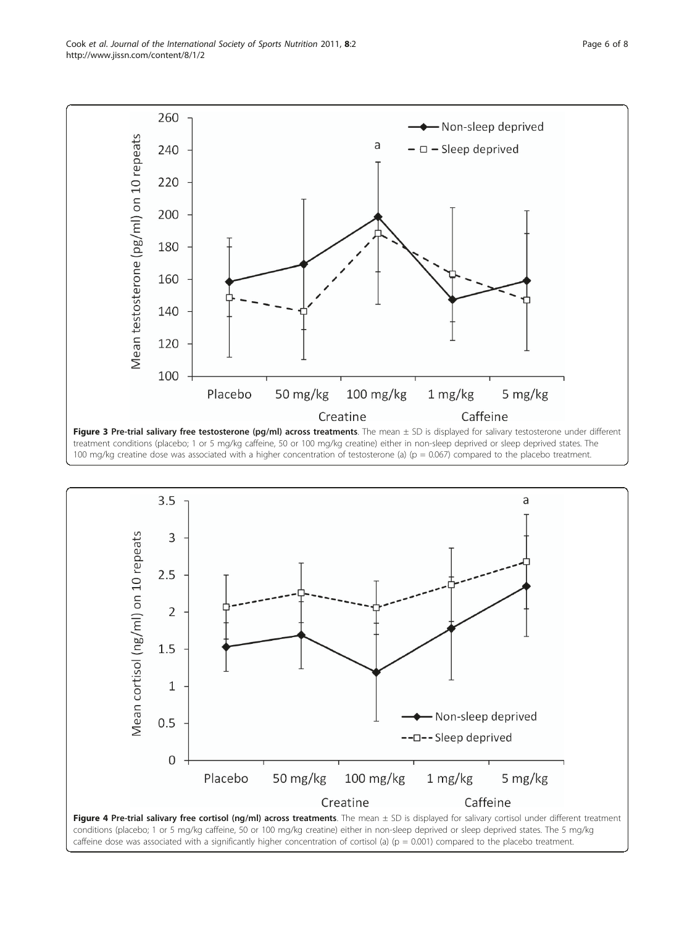treatment conditions (placebo; 1 or 5 mg/kg caffeine, 50 or 100 mg/kg creatine) either in non-sleep deprived or sleep deprived states. The 100 mg/kg creatine dose was associated with a higher concentration of testosterone (a) ( $p = 0.067$ ) compared to the placebo treatment.



<span id="page-5-0"></span>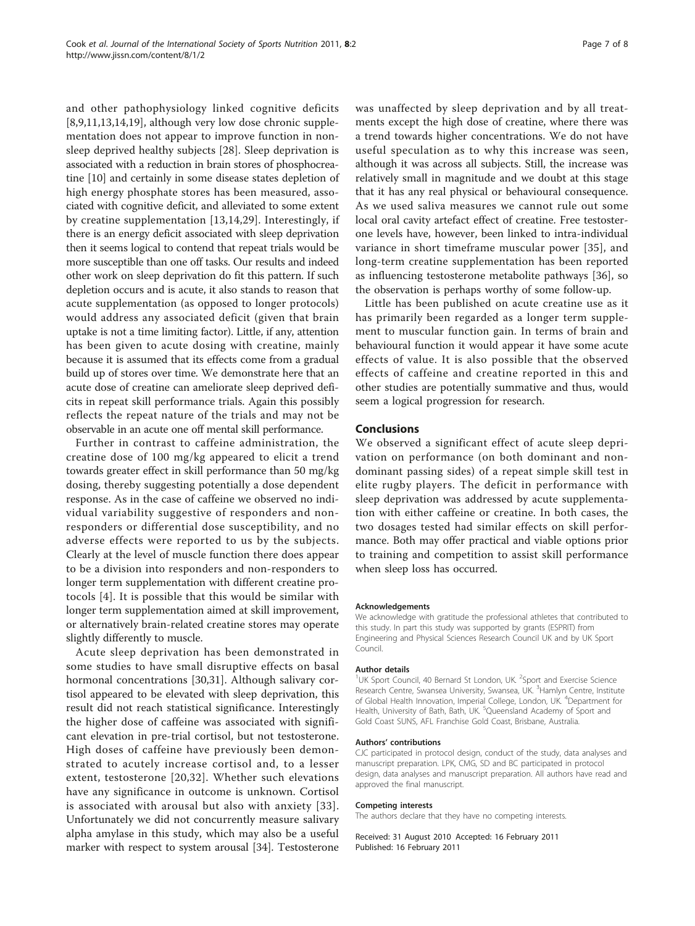and other pathophysiology linked cognitive deficits [[8,9,11,13,14,19\]](#page-7-0), although very low dose chronic supplementation does not appear to improve function in nonsleep deprived healthy subjects [[28\]](#page-7-0). Sleep deprivation is associated with a reduction in brain stores of phosphocreatine [\[10](#page-7-0)] and certainly in some disease states depletion of high energy phosphate stores has been measured, associated with cognitive deficit, and alleviated to some extent by creatine supplementation [[13](#page-7-0),[14,29](#page-7-0)]. Interestingly, if there is an energy deficit associated with sleep deprivation then it seems logical to contend that repeat trials would be more susceptible than one off tasks. Our results and indeed other work on sleep deprivation do fit this pattern. If such depletion occurs and is acute, it also stands to reason that acute supplementation (as opposed to longer protocols) would address any associated deficit (given that brain uptake is not a time limiting factor). Little, if any, attention has been given to acute dosing with creatine, mainly because it is assumed that its effects come from a gradual build up of stores over time. We demonstrate here that an acute dose of creatine can ameliorate sleep deprived deficits in repeat skill performance trials. Again this possibly reflects the repeat nature of the trials and may not be observable in an acute one off mental skill performance.

Further in contrast to caffeine administration, the creatine dose of 100 mg/kg appeared to elicit a trend towards greater effect in skill performance than 50 mg/kg dosing, thereby suggesting potentially a dose dependent response. As in the case of caffeine we observed no individual variability suggestive of responders and nonresponders or differential dose susceptibility, and no adverse effects were reported to us by the subjects. Clearly at the level of muscle function there does appear to be a division into responders and non-responders to longer term supplementation with different creatine protocols [\[4\]](#page-7-0). It is possible that this would be similar with longer term supplementation aimed at skill improvement, or alternatively brain-related creatine stores may operate slightly differently to muscle.

Acute sleep deprivation has been demonstrated in some studies to have small disruptive effects on basal hormonal concentrations [\[30,31](#page-7-0)]. Although salivary cortisol appeared to be elevated with sleep deprivation, this result did not reach statistical significance. Interestingly the higher dose of caffeine was associated with significant elevation in pre-trial cortisol, but not testosterone. High doses of caffeine have previously been demonstrated to acutely increase cortisol and, to a lesser extent, testosterone [[20](#page-7-0),[32\]](#page-7-0). Whether such elevations have any significance in outcome is unknown. Cortisol is associated with arousal but also with anxiety [\[33\]](#page-7-0). Unfortunately we did not concurrently measure salivary alpha amylase in this study, which may also be a useful marker with respect to system arousal [[34](#page-7-0)]. Testosterone was unaffected by sleep deprivation and by all treatments except the high dose of creatine, where there was a trend towards higher concentrations. We do not have useful speculation as to why this increase was seen, although it was across all subjects. Still, the increase was relatively small in magnitude and we doubt at this stage that it has any real physical or behavioural consequence. As we used saliva measures we cannot rule out some local oral cavity artefact effect of creatine. Free testosterone levels have, however, been linked to intra-individual variance in short timeframe muscular power [[35\]](#page-7-0), and long-term creatine supplementation has been reported as influencing testosterone metabolite pathways [[36\]](#page-7-0), so the observation is perhaps worthy of some follow-up.

Little has been published on acute creatine use as it has primarily been regarded as a longer term supplement to muscular function gain. In terms of brain and behavioural function it would appear it have some acute effects of value. It is also possible that the observed effects of caffeine and creatine reported in this and other studies are potentially summative and thus, would seem a logical progression for research.

#### Conclusions

We observed a significant effect of acute sleep deprivation on performance (on both dominant and nondominant passing sides) of a repeat simple skill test in elite rugby players. The deficit in performance with sleep deprivation was addressed by acute supplementation with either caffeine or creatine. In both cases, the two dosages tested had similar effects on skill performance. Both may offer practical and viable options prior to training and competition to assist skill performance when sleep loss has occurred.

#### Acknowledgements

We acknowledge with gratitude the professional athletes that contributed to this study. In part this study was supported by grants (ESPRIT) from Engineering and Physical Sciences Research Council UK and by UK Sport Council.

#### Author details

<sup>1</sup>UK Sport Council, 40 Bernard St London, UK. <sup>2</sup>Sport and Exercise Science Research Centre, Swansea University, Swansea, UK. <sup>3</sup>Hamlyn Centre, Institute of Global Health Innovation, Imperial College, London, UK. <sup>4</sup>Department for Health, University of Bath, Bath, UK. <sup>5</sup>Queensland Academy of Sport and Gold Coast SUNS, AFL Franchise Gold Coast, Brisbane, Australia.

#### Authors' contributions

CJC participated in protocol design, conduct of the study, data analyses and manuscript preparation. LPK, CMG, SD and BC participated in protocol design, data analyses and manuscript preparation. All authors have read and approved the final manuscript.

#### Competing interests

The authors declare that they have no competing interests.

Received: 31 August 2010 Accepted: 16 February 2011 Published: 16 February 2011